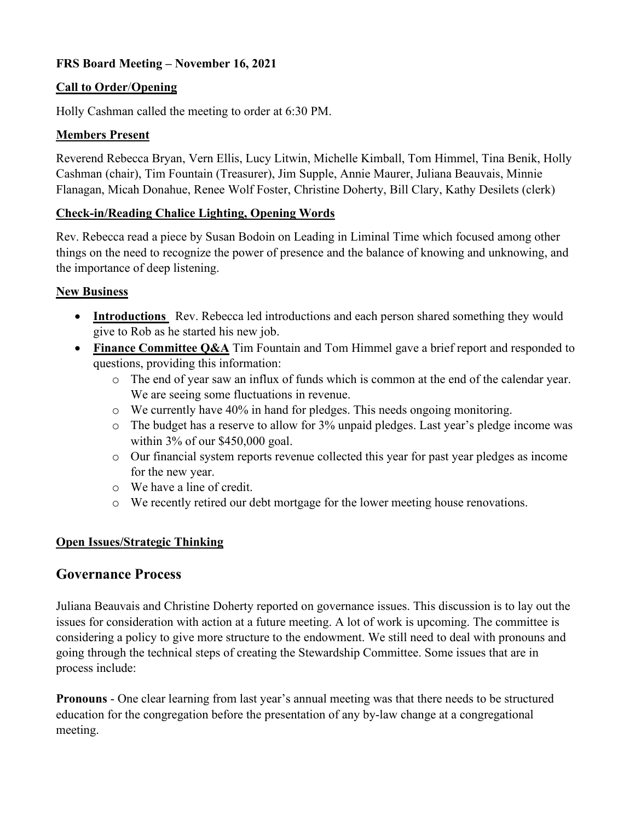# **FRS Board Meeting – November 16, 2021**

### **Call to Order**/**Opening**

Holly Cashman called the meeting to order at 6:30 PM.

#### **Members Present**

Reverend Rebecca Bryan, Vern Ellis, Lucy Litwin, Michelle Kimball, Tom Himmel, Tina Benik, Holly Cashman (chair), Tim Fountain (Treasurer), Jim Supple, Annie Maurer, Juliana Beauvais, Minnie Flanagan, Micah Donahue, Renee Wolf Foster, Christine Doherty, Bill Clary, Kathy Desilets (clerk)

### **Check-in/Reading Chalice Lighting, Opening Words**

Rev. Rebecca read a piece by Susan Bodoin on Leading in Liminal Time which focused among other things on the need to recognize the power of presence and the balance of knowing and unknowing, and the importance of deep listening.

### **New Business**

- **Introductions** Rev. Rebecca led introductions and each person shared something they would give to Rob as he started his new job.
- **Finance Committee Q&A** Tim Fountain and Tom Himmel gave a brief report and responded to questions, providing this information:
	- o The end of year saw an influx of funds which is common at the end of the calendar year. We are seeing some fluctuations in revenue.
	- o We currently have 40% in hand for pledges. This needs ongoing monitoring.
	- o The budget has a reserve to allow for 3% unpaid pledges. Last year's pledge income was within 3% of our \$450,000 goal.
	- o Our financial system reports revenue collected this year for past year pledges as income for the new year.
	- o We have a line of credit.
	- o We recently retired our debt mortgage for the lower meeting house renovations.

# **Open Issues/Strategic Thinking**

# **Governance Process**

Juliana Beauvais and Christine Doherty reported on governance issues. This discussion is to lay out the issues for consideration with action at a future meeting. A lot of work is upcoming. The committee is considering a policy to give more structure to the endowment. We still need to deal with pronouns and going through the technical steps of creating the Stewardship Committee. Some issues that are in process include:

**Pronouns** - One clear learning from last year's annual meeting was that there needs to be structured education for the congregation before the presentation of any by-law change at a congregational meeting.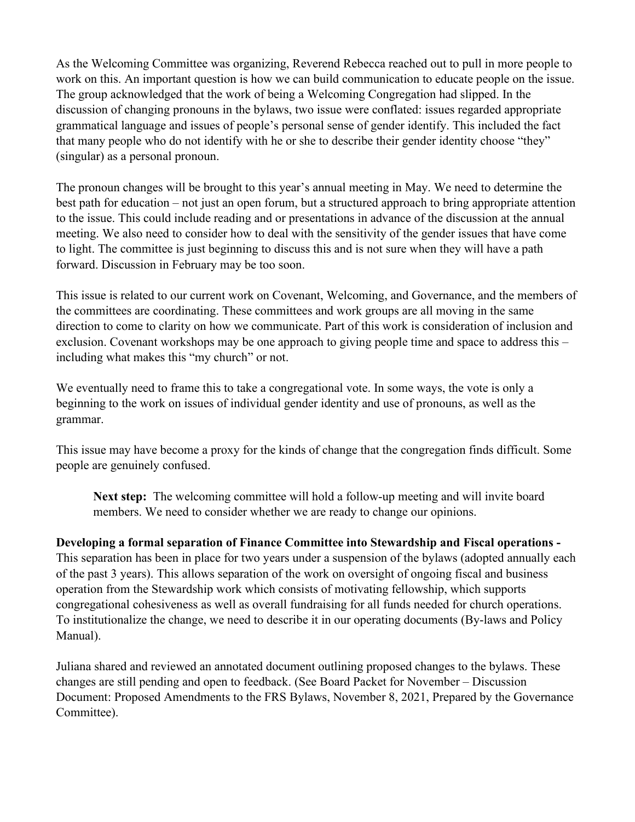As the Welcoming Committee was organizing, Reverend Rebecca reached out to pull in more people to work on this. An important question is how we can build communication to educate people on the issue. The group acknowledged that the work of being a Welcoming Congregation had slipped. In the discussion of changing pronouns in the bylaws, two issue were conflated: issues regarded appropriate grammatical language and issues of people's personal sense of gender identify. This included the fact that many people who do not identify with he or she to describe their gender identity choose "they" (singular) as a personal pronoun.

The pronoun changes will be brought to this year's annual meeting in May. We need to determine the best path for education – not just an open forum, but a structured approach to bring appropriate attention to the issue. This could include reading and or presentations in advance of the discussion at the annual meeting. We also need to consider how to deal with the sensitivity of the gender issues that have come to light. The committee is just beginning to discuss this and is not sure when they will have a path forward. Discussion in February may be too soon.

This issue is related to our current work on Covenant, Welcoming, and Governance, and the members of the committees are coordinating. These committees and work groups are all moving in the same direction to come to clarity on how we communicate. Part of this work is consideration of inclusion and exclusion. Covenant workshops may be one approach to giving people time and space to address this – including what makes this "my church" or not.

We eventually need to frame this to take a congregational vote. In some ways, the vote is only a beginning to the work on issues of individual gender identity and use of pronouns, as well as the grammar.

This issue may have become a proxy for the kinds of change that the congregation finds difficult. Some people are genuinely confused.

**Next step:** The welcoming committee will hold a follow-up meeting and will invite board members. We need to consider whether we are ready to change our opinions.

#### **Developing a formal separation of Finance Committee into Stewardship and Fiscal operations -**

This separation has been in place for two years under a suspension of the bylaws (adopted annually each of the past 3 years). This allows separation of the work on oversight of ongoing fiscal and business operation from the Stewardship work which consists of motivating fellowship, which supports congregational cohesiveness as well as overall fundraising for all funds needed for church operations. To institutionalize the change, we need to describe it in our operating documents (By-laws and Policy Manual).

Juliana shared and reviewed an annotated document outlining proposed changes to the bylaws. These changes are still pending and open to feedback. (See Board Packet for November – Discussion Document: Proposed Amendments to the FRS Bylaws, November 8, 2021, Prepared by the Governance Committee).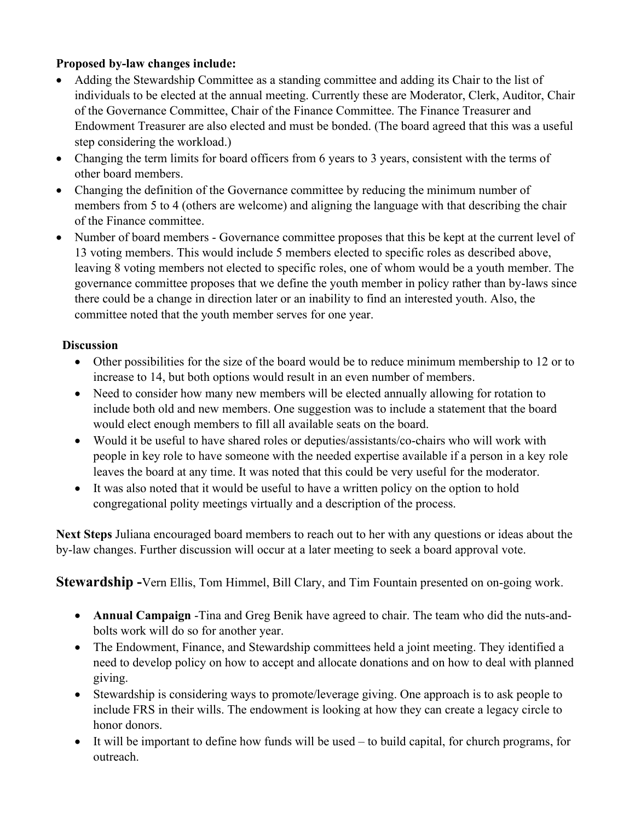# **Proposed by-law changes include:**

- Adding the Stewardship Committee as a standing committee and adding its Chair to the list of individuals to be elected at the annual meeting. Currently these are Moderator, Clerk, Auditor, Chair of the Governance Committee, Chair of the Finance Committee. The Finance Treasurer and Endowment Treasurer are also elected and must be bonded. (The board agreed that this was a useful step considering the workload.)
- Changing the term limits for board officers from 6 years to 3 years, consistent with the terms of other board members.
- Changing the definition of the Governance committee by reducing the minimum number of members from 5 to 4 (others are welcome) and aligning the language with that describing the chair of the Finance committee.
- Number of board members Governance committee proposes that this be kept at the current level of 13 voting members. This would include 5 members elected to specific roles as described above, leaving 8 voting members not elected to specific roles, one of whom would be a youth member. The governance committee proposes that we define the youth member in policy rather than by-laws since there could be a change in direction later or an inability to find an interested youth. Also, the committee noted that the youth member serves for one year.

#### **Discussion**

- Other possibilities for the size of the board would be to reduce minimum membership to 12 or to increase to 14, but both options would result in an even number of members.
- Need to consider how many new members will be elected annually allowing for rotation to include both old and new members. One suggestion was to include a statement that the board would elect enough members to fill all available seats on the board.
- Would it be useful to have shared roles or deputies/assistants/co-chairs who will work with people in key role to have someone with the needed expertise available if a person in a key role leaves the board at any time. It was noted that this could be very useful for the moderator.
- It was also noted that it would be useful to have a written policy on the option to hold congregational polity meetings virtually and a description of the process.

**Next Steps** Juliana encouraged board members to reach out to her with any questions or ideas about the by-law changes. Further discussion will occur at a later meeting to seek a board approval vote.

**Stewardship -**Vern Ellis, Tom Himmel, Bill Clary, and Tim Fountain presented on on-going work.

- **Annual Campaign** -Tina and Greg Benik have agreed to chair. The team who did the nuts-andbolts work will do so for another year.
- The Endowment, Finance, and Stewardship committees held a joint meeting. They identified a need to develop policy on how to accept and allocate donations and on how to deal with planned giving.
- Stewardship is considering ways to promote/leverage giving. One approach is to ask people to include FRS in their wills. The endowment is looking at how they can create a legacy circle to honor donors.
- It will be important to define how funds will be used to build capital, for church programs, for outreach.